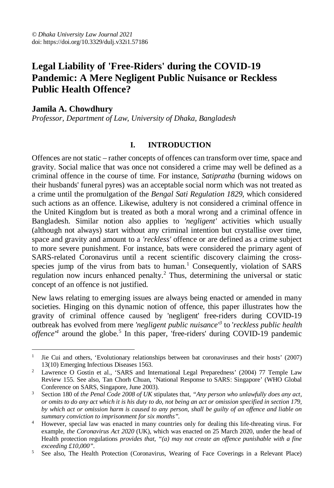# **Legal Liability of 'Free-Riders' during the COVID-19 Pandemic: A Mere Negligent Public Nuisance or Reckless Public Health Offence?**

# **Jamila A. Chowdhury**

 $\overline{a}$ 

*Professor, Department of Law, University of Dhaka, Bangladesh*

### **I. INTRODUCTION**

Offences are not static – rather concepts of offences can transform over time, space and gravity. Social malice that was once not considered a crime may well be defined as a criminal offence in the course of time. For instance, *Satipratha* (burning widows on their husbands' funeral pyres) was an acceptable social norm which was not treated as a crime until the promulgation of the *Bengal Sati Regulation 1829,* which considered such actions as an offence. Likewise, adultery is not considered a criminal offence in the United Kingdom but is treated as both a moral wrong and a criminal offence in Bangladesh. Similar notion also applies to *'negligent'* activities which usually (although not always) start without any criminal intention but crystallise over time, space and gravity and amount to a *'reckless'* offence or are defined as a crime subject to more severe punishment. For instance, bats were considered the primary agent of SARS-related Coronavirus until a recent scientific discovery claiming the crossspecies jump of the virus from bats to human.<sup>1</sup> Consequently, violation of SARS regulation now incurs enhanced penalty.<sup>2</sup> Thus, determining the universal or static concept of an offence is not justified.

New laws relating to emerging issues are always being enacted or amended in many societies. Hinging on this dynamic notion of offence, this paper illustrates how the gravity of criminal offence caused by 'negligent' free-riders during COVID-19 outbreak has evolved from mere *'negligent public nuisance'<sup>3</sup>* to '*reckless public health offence*<sup>4</sup> around the globe.<sup>5</sup> In this paper, 'free-riders' during COVID-19 pandemic

<sup>1</sup> Jie Cui and others, 'Evolutionary relationships between bat coronaviruses and their hosts' (2007) 13(10) Emerging Infectious Diseases 1563.

<sup>&</sup>lt;sup>2</sup> Lawrence O Gostin et al., 'SARS and International Legal Preparedness' (2004) 77 Temple Law Review 155. See also, Tan Chorh Chuan, 'National Response to SARS: Singapore' (WHO Global Conference on SARS, Singapore, June 2003).

<sup>3</sup> Section 180 of *the Penal Code 2008 of UK* stipulates that, *"Any person who unlawfully does any act, or omits to do any act which it is his duty to do, not being an act or omission specified in section 179, by which act or omission harm is caused to any person, shall be guilty of an offence and liable on summary conviction to imprisonment for six months".*

<sup>4</sup> However, special law was enacted in many countries only for dealing this life-threating virus. For example, *the Coronavirus Act 2020* (UK), which was enacted on 25 March 2020, under the head of Health protection regulations *provides that, "(a) may not create an offence punishable with a fine exceeding £10,000"*.

<sup>5</sup> See also, The Health Protection (Coronavirus, Wearing of Face Coverings in a Relevant Place)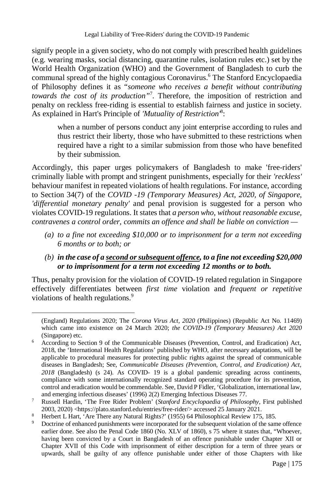Legal Liability of 'Free-Riders' during the COVID-19 Pandemic

signify people in a given society, who do not comply with prescribed health guidelines (e.g. wearing masks, social distancing, quarantine rules, isolation rules etc.) set by the World Health Organization (WHO) and the Government of Bangladesh to curb the communal spread of the highly contagious Coronavirus.<sup>6</sup> The Stanford Encyclopaedia of Philosophy defines it as "*someone who receives a benefit without contributing towards the cost of its production"*<sup>7</sup> . Therefore, the imposition of restriction and penalty on reckless free-riding is essential to establish fairness and justice in society. As explained in Hart's Principle of *'Mutuality of Restriction'*<sup>8</sup> :

when a number of persons conduct any joint enterprise according to rules and thus restrict their liberty, those who have submitted to these restrictions when required have a right to a similar submission from those who have benefited by their submission.

Accordingly, this paper urges policymakers of Bangladesh to make 'free-riders' criminally liable with prompt and stringent punishments, especially for their *'reckless'* behaviour manifest in repeated violations of health regulations. For instance, according to Section 34(7) of the *COVID -19 (Temporary Measures) Act, 2020, of Singapore, 'differential monetary penalty'* and penal provision is suggested for a person who violates COVID-19 regulations. It states that *a person who, without reasonable excuse, contravenes a control order, commits an offence and shall be liable on conviction —*

- *(a) to a fine not exceeding \$10,000 or to imprisonment for a term not exceeding 6 months or to both; or*
- *(b) in the case of a second or subsequent offence, to a fine not exceeding \$20,000 or to imprisonment for a term not exceeding 12 months or to both.*

Thus, penalty provision for the violation of COVID-19 related regulation in Singapore effectively differentiates between *first time* violation and *frequent or repetitive* violations of health regulations.<sup>9</sup>

<sup>(</sup>England) Regulations 2020; The *Corona Virus Act, 2020* (Philippines) (Republic Act No. 11469) which came into existence on 24 March 2020; *the COVID-19 (Temporary Measures) Act 2020*  (Singapore) etc.

<sup>6</sup> According to Section 9 of the Communicable Diseases (Prevention, Control, and Eradication) Act, 2018, the 'International Health Regulations' published by WHO, after necessary adaptations, will be applicable to procedural measures for protecting public rights against the spread of communicable diseases in Bangladesh; See, *Communicable Diseases (Prevention, Control, and Eradication) Act, 2018* (Bangladesh) (s 24). As COVID- 19 is a global pandemic spreading across continents, compliance with some internationally recognized standard operating procedure for its prevention, control and eradication would be commendable. See, David P Fidler, 'Globalization, international law, and emerging infectious diseases' (1996) 2(2) Emerging Infectious Diseases 77.

<sup>7</sup> Russell Hardin, 'The Free Rider Problem' (*Stanford Encyclopaedia of Philosophy*, First published 2003, 2020) <https://plato.stanford.edu/entries/free-rider/> accessed 25 January 2021.

<sup>&</sup>lt;sup>8</sup> Herbert L Hart, 'Are There any Natural Rights?' (1955) 64 Philosophical Review 175, 185.

<sup>9</sup> Doctrine of enhanced punishments were incorporated for the subsequent violation of the same offence earlier done. See also the Penal Code 1860 (No. XLV of 1860), s 75 where it states that, "Whoever, having been convicted by a Court in Bangladesh of an offence punishable under Chapter XII or Chapter XVII of this Code with imprisonment of either description for a term of three years or upwards, shall be guilty of any offence punishable under either of those Chapters with like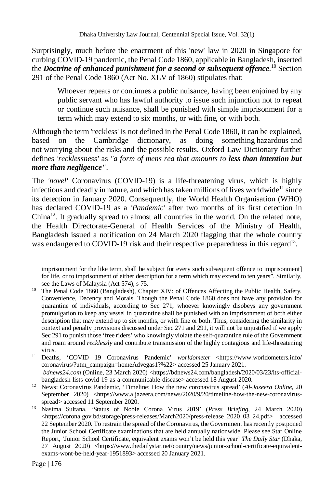Surprisingly, much before the enactment of this 'new' law in 2020 in Singapore for curbing COVID-19 pandemic, the Penal Code 1860, applicable in Bangladesh, inserted the *Doctrine of enhanced punishment for a second or subsequent offence*.<sup>10</sup> Section 291 of the Penal Code 1860 (Act No. XLV of 1860) stipulates that:

Whoever repeats or continues a public nuisance, having been enjoined by any public servant who has lawful authority to issue such injunction not to repeat or continue such nuisance, shall be punished with simple imprisonment for a term which may extend to six months, or with fine, or with both.

Although the term 'reckless' is not defined in the Penal Code 1860, it can be explained, based on the Cambridge dictionary, as doing something hazardous and not worrying about the risks and the possible results. Oxford Law Dictionary further defines *'recklessness'* as *"a form of mens rea that amounts to less than intention but more than negligence".*

The *'novel'* Coronavirus (COVID-19) is a life-threatening virus, which is highly infectious and deadly in nature, and which has taken millions of lives worldwide<sup>11</sup> since its detection in January 2020. Consequently, the World Health Organisation (WHO) has declared COVID-19 as a *'Pandemic'* after two months of its first detection in  $China<sup>12</sup>$ . It gradually spread to almost all countries in the world. On the related note, the Health Directorate-General of Health Services of the Ministry of Health, Bangladesh issued a notification on 24 March 2020 flagging that the whole country was endangered to COVID-19 risk and their respective preparedness in this regard<sup>13</sup>.

imprisonment for the like term, shall be subject for every such subsequent offence to imprisonment] for life, or to imprisonment of either description for a term which may extend to ten years". Similarly, see the Laws of Malaysia (Act 574), s 75.

<sup>&</sup>lt;sup>10</sup> The Penal Code 1860 (Bangladesh), Chapter XIV: of Offences Affecting the Public Health, Safety, Convenience, Decency and Morals. Though the Penal Code 1860 does not have any provision for quarantine of individuals, according to Sec 271, whoever knowingly disobeys any government promulgation to keep any vessel in quarantine shall be punished with an imprisonment of both either description that may extend up to six months, or with fine or both. Thus, considering the similarity in context and penalty provisions discussed under Sec 271 and 291, it will not be unjustified if we apply Sec 291 to punish those 'free riders' who knowingly violate the self-quarantine rule of the Government and roam around *recklessly* and contribute transmission of the highly contagious and life-threatening virus.

<sup>11</sup> Deaths, 'COVID 19 Coronavirus Pandemic' *worldometer* <https://www.worldometers.info/ coronavirus/?utm\_campaign=homeAdvegas1?%22> accessed 25 January 2021. *bdnews24.com* (Online, 23 March 2020) <https://bdnews24.com/bangladesh/2020/03/23/its-officialbangladesh-lists-covid-19-as-a-communicable-disease> accessed 18 August 2020.

<sup>12</sup> News: Coronavirus Pandemic, 'Timeline: How the new coronavirus spread' (*Al-Jazeera Online*, 20 September 2020) <https://www.aljazeera.com/news/2020/9/20/timeline-how-the-new-coronavirusspread> accessed 11 September 2020.

<sup>13</sup> Nasima Sultana, 'Status of Noble Corona Virus 2019' (*Press Briefing*, 24 March 2020) <https://corona.gov.bd/storage/press-releases/March2020/press-release\_2020\_03\_24.pdf> accessed 22 September 2020. To restrain the spread of the Coronavirus, the Government has recently postponed the Junior School Certificate examinations that are held annually nationwide. Please see Star Online Report, 'Junior School Certificate, equivalent exams won't be held this year' *The Daily Star* (Dhaka, 27 August 2020) <https://www.thedailystar.net/country/news/junior-school-certificate-equivalentexams-wont-be-held-year-1951893> accessed 20 January 2021.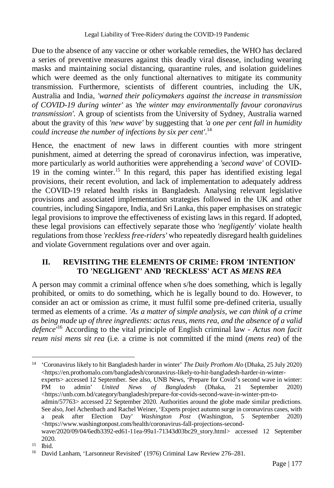Due to the absence of any vaccine or other workable remedies, the WHO has declared a series of preventive measures against this deadly viral disease, including wearing masks and maintaining social distancing, quarantine rules, and isolation guidelines which were deemed as the only functional alternatives to mitigate its community transmission. Furthermore, scientists of different countries, including the UK, Australia and India, *'warned their policymakers against the increase in transmission of COVID-19 during winter'* as *'the winter may environmentally favour coronavirus transmission'.* A group of scientists from the University of Sydney, Australia warned about the gravity of this *'new wave'* by suggesting that *'a one per cent fall in humidity could increase the number of infections by six per cent'*. 14

Hence, the enactment of new laws in different counties with more stringent punishment, aimed at deterring the spread of coronavirus infection, was imperative, more particularly as world authorities were apprehending a *'second wave'* of COVID-19 in the coming winter.<sup>15</sup> In this regard, this paper has identified existing legal provisions, their recent evolution, and lack of implementation to adequately address the COVID-19 related health risks in Bangladesh. Analysing relevant legislative provisions and associated implementation strategies followed in the UK and other countries, including Singapore, India, and Sri Lanka, this paper emphasises on strategic legal provisions to improve the effectiveness of existing laws in this regard. If adopted, these legal provisions can effectively separate those who *'negligently'* violate health regulations from those *'reckless free-riders'* who repeatedly disregard health guidelines and violate Government regulations over and over again.

# **II. REVISITING THE ELEMENTS OF CRIME: FROM 'INTENTION' TO 'NEGLIGENT' AND 'RECKLESS' ACT AS** *MENS REA*

A person may commit a criminal offence when s/he does something, which is legally prohibited, or omits to do something, which he is legally bound to do. However, to consider an act or omission as crime, it must fulfil some pre-defined criteria, usually termed as elements of a crime. *'As a matter of simple analysis, we can think of a crime as being made up of three ingredients: actus reus, mens rea, and the absence of a valid defence'*<sup>16</sup> According to the vital principle of English criminal law - *Actus non facit reum nisi mens sit rea* (i.e. a crime is not committed if the mind (*mens rea*) of the

<sup>14</sup> 'Coronavirus likely to hit Bangladesh harder in winter' *The Daily Prothom Alo* (Dhaka, 25 July 2020) <https://en.prothomalo.com/bangladesh/coronavirus-likely-to-hit-bangladesh-harder-in-winterexperts> accessed 12 September. See also, UNB News, 'Prepare for Covid's second wave in winter: PM to admin' *United News of Bangladesh* (Dhaka, 21 September 2020) <https://unb.com.bd/category/bangladesh/prepare-for-covids-second-wave-in-winter-pm-toadmin/57763> accessed 22 September 2020. Authorities around the globe made similar predictions. See also, Joel Achenbach and Rachel Weiner, 'Experts project autumn surge in coronavirus cases, with a peak after Election Day' *Washington Post* (Washington, 5 September 2020) <https://www.washingtonpost.com/health/coronavirus-fall-projections-secondwave/2020/09/04/6edb3392-ed61-11ea-99a1-71343d03bc29\_story.html> accessed 12 September 2020.

<sup>15</sup> Ibid.

<sup>&</sup>lt;sup>16</sup> David Lanham, 'Larsonneur Revisited' (1976) Criminal Law Review 276–281.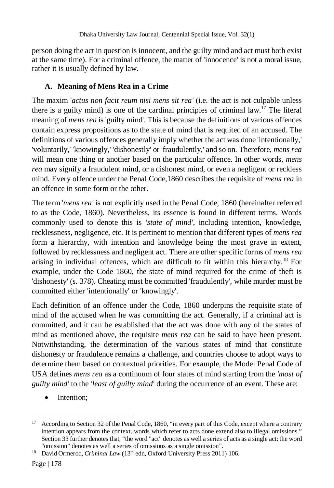person doing the act in question is innocent, and the guilty mind and act must both exist at the same time). For a criminal offence, the matter of 'innocence' is not a moral issue, rather it is usually defined by law.

# **A. Meaning of Mens Rea in a Crime**

The maxim '*actus non facit reum nisi mens sit rea'* (i.e. the act is not culpable unless there is a guilty mind) is one of the cardinal principles of criminal law.<sup>17</sup> The literal meaning of *mens rea* is 'guilty mind'. This is because the definitions of various offences contain express propositions as to the state of mind that is requited of an accused. The definitions of various offences generally imply whether the act was done 'intentionally,' 'voluntarily,' 'knowingly,' 'dishonestly' or 'fraudulently,' and so on. Therefore, *mens rea* will mean one thing or another based on the particular offence. In other words, *mens rea* may signify a fraudulent mind, or a dishonest mind, or even a negligent or reckless mind. Every offence under the Penal Code,1860 describes the requisite of *mens rea* in an offence in some form or the other.

The term '*mens rea'* is not explicitly used in the Penal Code, 1860 (hereinafter referred to as the Code, 1860). Nevertheless, its essence is found in different terms. Words commonly used to denote this is *'state of mind'*, including intention, knowledge, recklessness, negligence, etc. It is pertinent to mention that different types of *mens rea* form a hierarchy, with intention and knowledge being the most grave in extent, followed by recklessness and negligent act. There are other specific forms of *mens rea* arising in individual offences, which are difficult to fit within this hierarchy.<sup>18</sup> For example, under the Code 1860, the state of mind required for the crime of theft is 'dishonesty' (s. 378). Cheating must be committed 'fraudulently', while murder must be committed either 'intentionally' or 'knowingly'.

Each definition of an offence under the Code, 1860 underpins the requisite state of mind of the accused when he was committing the act. Generally, if a criminal act is committed, and it can be established that the act was done with any of the states of mind as mentioned above, the requisite *mens rea* can be said to have been present. Notwithstanding, the determination of the various states of mind that constitute dishonesty or fraudulence remains a challenge, and countries choose to adopt ways to determine them based on contextual priorities. For example, the Model Penal Code of USA defines *mens rea* as a continuum of four states of mind starting from the *'most of guilty mind'* to the *'least of guilty mind'* during the occurrence of an event. These are:

Intention;

 $\overline{a}$ <sup>17</sup> According to Section 32 of the Penal Code, 1860, "in every part of this Code, except where a contrary intention appears from the context, words which refer to acts done extend also to illegal omissions." Section 33 further denotes that, "the word "act" denotes as well a series of acts as a single act: the word "omission" denotes as well a series of omissions as a single omission".

<sup>&</sup>lt;sup>18</sup> David Ormerod, *Criminal Law* (13<sup>th</sup> edn, Oxford University Press 2011) 106.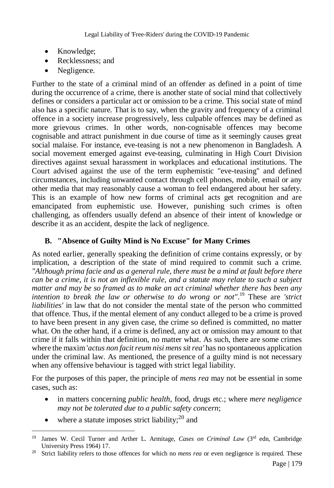- Knowledge;
- Recklessness; and
- Negligence.

Further to the state of a criminal mind of an offender as defined in a point of time during the occurrence of a crime, there is another state of social mind that collectively defines or considers a particular act or omission to be a crime. This social state of mind also has a specific nature. That is to say, when the gravity and frequency of a criminal offence in a society increase progressively, less culpable offences may be defined as more grievous crimes. In other words, non-cognisable offences may become cognisable and attract punishment in due course of time as it seemingly causes great social malaise. For instance, eve-teasing is not a new phenomenon in Bangladesh. A social movement emerged against eve-teasing, culminating in High Court Division directives against sexual harassment in workplaces and educational institutions. The Court advised against the use of the term euphemistic "eve-teasing" and defined circumstances, including unwanted contact through cell phones, mobile, email or any other media that may reasonably cause a woman to feel endangered about her safety. This is an example of how new forms of criminal acts get recognition and are emancipated from euphemistic use. However, punishing such crimes is often challenging, as offenders usually defend an absence of their intent of knowledge or describe it as an accident, despite the lack of negligence.

# **B. "Absence of Guilty Mind is No Excuse" for Many Crimes**

As noted earlier, generally speaking the definition of crime contains expressly, or by implication, a description of the state of mind required to commit such a crime. *"Although prima facie and as a general rule, there must be a mind at fault before there can be a crime, it is not an inflexible rule, and a statute may relate to such a subject matter and may be so framed as to make an act criminal whether there has been any intention to break the law or otherwise to do wrong or not"*. <sup>19</sup> These are *'strict liabilities'* in law that do not consider the mental state of the person who committed that offence. Thus, if the mental element of any conduct alleged to be a crime is proved to have been present in any given case, the crime so defined is committed, no matter what. On the other hand, if a crime is defined, any act or omission may amount to that crime if it falls within that definition, no matter what. As such, there are some crimes where the maxim '*actus non facit reum nisi mens sit rea'* has no spontaneous application under the criminal law. As mentioned, the presence of a guilty mind is not necessary when any offensive behaviour is tagged with strict legal liability.

For the purposes of this paper, the principle of *mens rea* may not be essential in some cases, such as:

- in matters concerning *public health*, food, drugs etc.; where *mere negligence may not be tolerated due to a public safety concern*;
- $\bullet$  where a statute imposes strict liability;<sup>20</sup> and

 $\overline{a}$ <sup>19</sup> James W. Cecil Turner and Arther L. Armitage, *Cases on Criminal Law* (3rd edn, Cambridge University Press 1964) 17.

<sup>&</sup>lt;sup>20</sup> Strict liability refers to those offences for which no *mens rea* or even negligence is required. These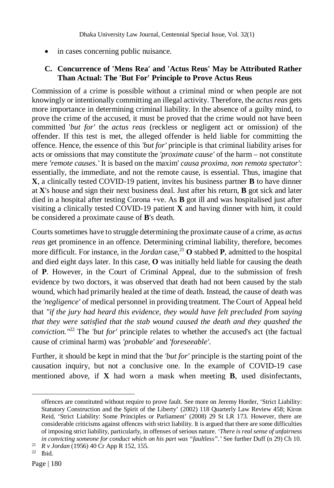in cases concerning public nuisance.

#### **C. Concurrence of 'Mens Rea' and 'Actus Reus' May be Attributed Rather Than Actual: The 'But For' Principle to Prove Actus Reus**

Commission of a crime is possible without a criminal mind or when people are not knowingly or intentionally committing an illegal activity. Therefore, the *actus reas* gets more importance in determining criminal liability. In the absence of a guilty mind, to prove the crime of the accused, it must be proved that the crime would not have been committed '*but for'* the *actus reas* (reckless or negligent act or omission) of the offender. If this test is met, the alleged offender is held liable for committing the offence. Hence, the essence of this *'but for'* principle is that criminal liability arises for acts or omissions that may constitute the *'proximate cause'* of the harm – not constitute mere *'remote causes.'* It is based on the maxim' *causa proxima, non remota spectator'*: essentially, the immediate, and not the remote cause, is essential. Thus, imagine that **X**, a clinically tested COVID-19 patient, invites his business partner **B** to have dinner at **X**'s house and sign their next business deal. Just after his return, **B** got sick and later died in a hospital after testing Corona +ve. As **B** got ill and was hospitalised just after visiting a clinically tested COVID-19 patient **X** and having dinner with him, it could be considered a proximate cause of **B**'s death.

Courts sometimes have to struggle determining the proximate cause of a crime, as *actus reas* get prominence in an offence. Determining criminal liability, therefore, becomes more difficult. For instance, in the *Jordan* case,  $2^{1}$  O stabbed **P**, admitted to the hospital and died eight days later. In this case, **O** was initially held liable for causing the death of **P**. However, in the Court of Criminal Appeal, due to the submission of fresh evidence by two doctors, it was observed that death had not been caused by the stab wound, which had primarily healed at the time of death. Instead, the cause of death was the *'negligence'* of medical personnel in providing treatment. The Court of Appeal held that *"if the jury had heard this evidence, they would have felt precluded from saying that they were satisfied that the stab wound caused the death and they quashed the conviction."*<sup>22</sup> The *'but for'* principle relates to whether the accused's act (the factual cause of criminal harm) was *'probable'* and *'foreseeable'*.

Further, it should be kept in mind that the *'but for'* principle is the starting point of the causation inquiry, but not a conclusive one. In the example of COVID-19 case mentioned above, if **X** had worn a mask when meeting **B**, used disinfectants,

offences are constituted without require to prove fault. See more on Jeremy Horder, 'Strict Liability: Statutory Construction and the Spirit of the Liberty' (2002) 118 Quarterly Law Review 458; Kiron Reid, 'Strict Liability: Some Principles or Parliament' (2008) 29 St LR 173. However, there are considerable criticisms against offences with strict liability. It is argued that there are some difficulties of imposing strict liability, particularly, in offenses of serious nature. *'There is real sense of unfairness in convicting someone for conduct which on his part was "faultless".'* See further Duff (n 29) Ch 10.

<sup>21</sup> *R v Jordan* (1956) 40 Cr App R 152, 155.

<sup>22</sup> Ibid.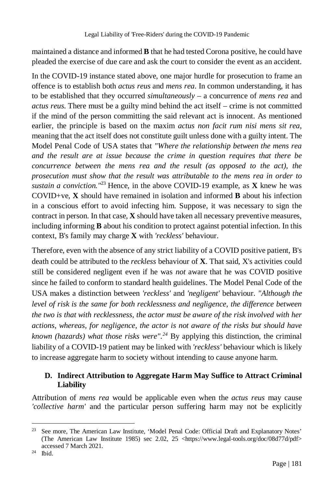maintained a distance and informed **B** that he had tested Corona positive, he could have pleaded the exercise of due care and ask the court to consider the event as an accident.

In the COVID-19 instance stated above, one major hurdle for prosecution to frame an offence is to establish both *actus reus* and *mens rea*. In common understanding, it has to be established that they occurred *simultaneously* – a concurrence of *mens rea* and *actus reus*. There must be a guilty mind behind the act itself – crime is not committed if the mind of the person committing the said relevant act is innocent. As mentioned earlier, the principle is based on the maxim *actus non facit rum nisi mens sit rea*, meaning that the act itself does not constitute guilt unless done with a guilty intent. The Model Penal Code of USA states that *"Where the relationship between the mens rea and the result are at issue because the crime in question requires that there be concurrence between the mens rea and the result (as opposed to the act), the prosecution must show that the result was attributable to the mens rea in order to sustain a conviction."*<sup>23</sup> Hence, in the above COVID-19 example, as **X** knew he was COVID+ve, **X** should have remained in isolation and informed **B** about his infection in a conscious effort to avoid infecting him. Suppose, it was necessary to sign the contract in person. In that case, **X** should have taken all necessary preventive measures, including informing **B** about his condition to protect against potential infection. In this context, B's family may charge **X** with *'reckless'* behaviour.

Therefore, even with the absence of any strict liability of a COVID positive patient, B's death could be attributed to the *reckless* behaviour of **X**. That said, X's activities could still be considered negligent even if he was *not* aware that he was COVID positive since he failed to conform to standard health guidelines. The Model Penal Code of the USA makes a distinction between *'reckless'* and *'negligent'* behaviour. *"Although the level of risk is the same for both recklessness and negligence, the difference between the two is that with recklessness, the actor must be aware of the risk involved with her actions, whereas, for negligence, the actor is not aware of the risks but should have known (hazards) what those risks were".<sup>24</sup>* By applying this distinction, the criminal liability of a COVID-19 patient may be linked with *'reckless'* behaviour which is likely to increase aggregate harm to society without intending to cause anyone harm.

# **D. Indirect Attribution to Aggregate Harm May Suffice to Attract Criminal Liability**

Attribution of *mens rea* would be applicable even when the *actus reus* may cause *'collective harm'* and the particular person suffering harm may not be explicitly

 $\overline{a}$ <sup>23</sup> See more, The American Law Institute, 'Model Penal Code: Official Draft and Explanatory Notes' (The American Law Institute 1985) sec 2.02, 25 <https://www.legal-tools.org/doc/08d77d/pdf> accessed 7 March 2021.

<sup>24</sup> Ibid.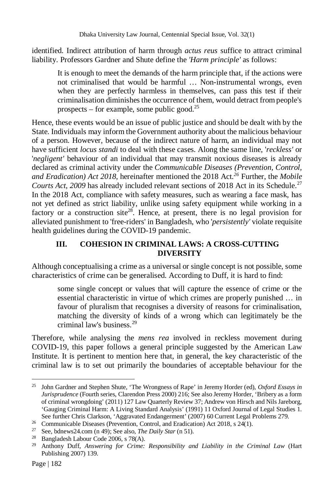identified. Indirect attribution of harm through *actus reus* suffice to attract criminal liability. Professors Gardner and Shute define the *'Harm principle'* as follows:

It is enough to meet the demands of the harm principle that, if the actions were not criminalised that would be harmful … Non-instrumental wrongs, even when they are perfectly harmless in themselves, can pass this test if their criminalisation diminishes the occurrence of them, would detract from people's prospects – for example, some public good.<sup>25</sup>

Hence, these events would be an issue of public justice and should be dealt with by the State. Individuals may inform the Government authority about the malicious behaviour of a person. However, because of the indirect nature of harm, an individual may not have sufficient *locus standi* to deal with these cases. Along the same line, '*reckless'* or '*negligent'* behaviour of an individual that may transmit noxious diseases is already declared as criminal activity under the *Communicable Diseases (Prevention, Control, and Eradication) Act 2018*, hereinafter mentioned the 2018 Act*. <sup>26</sup>* Further, the *Mobile Courts Act, 2009* has already included relevant sections of 2018 Act in its Schedule.<sup>27</sup> In the 2018 Act, compliance with safety measures, such as wearing a face mask, has not yet defined as strict liability, unlike using safety equipment while working in a factory or a construction site<sup>28</sup>. Hence, at present, there is no legal provision for alleviated punishment to 'free-riders' in Bangladesh, who '*persistently'* violate requisite health guidelines during the COVID-19 pandemic.

# **III. COHESION IN CRIMINAL LAWS: A CROSS-CUTTING DIVERSITY**

Although conceptualising a crime as a universal or single concept is not possible, some characteristics of crime can be generalised. According to Duff, it is hard to find:

some single concept or values that will capture the essence of crime or the essential characteristic in virtue of which crimes are properly punished … in favour of pluralism that recognises a diversity of reasons for criminalisation, matching the diversity of kinds of a wrong which can legitimately be the criminal law's business.<sup>29</sup>

Therefore, while analysing the *mens rea* involved in reckless movement during COVID-19, this paper follows a general principle suggested by the American Law Institute. It is pertinent to mention here that, in general, the key characteristic of the criminal law is to set out primarily the boundaries of acceptable behaviour for the

 $\overline{a}$ <sup>25</sup> John Gardner and Stephen Shute, 'The Wrongness of Rape' in Jeremy Horder (ed), *Oxford Essays in Jurisprudence* (Fourth series, Clarendon Press 2000) 216; See also Jeremy Horder, 'Bribery as a form of criminal wrongdoing' (2011) 127 Law Quarterly Review 37; Andrew von Hirsch and Nils Jareborg, 'Gauging Criminal Harm: A Living Standard Analysis' (1991) 11 Oxford Journal of Legal Studies 1. See further Chris Clarkson, 'Aggravated Endangerment' (2007) 60 Current Legal Problems 279.

<sup>&</sup>lt;sup>26</sup> Communicable Diseases (Prevention, Control, and Eradication) Act 2018, s 24(1).

<sup>27</sup> See, bdnews24.com (n 49); See also, *The Daily Star* (n 51).

<sup>28</sup> Bangladesh Labour Code 2006, s 78(A).

<sup>29</sup> Anthony Duff, *Answering for Crime: Responsibility and Liability in the Criminal Law* (Hart Publishing 2007) 139.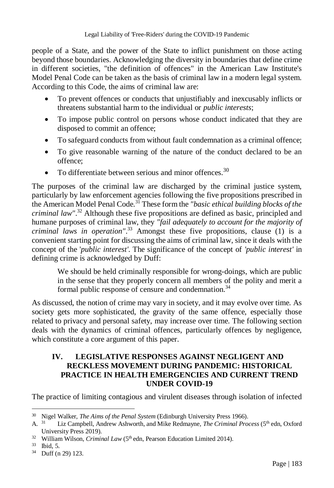people of a State, and the power of the State to inflict punishment on those acting beyond those boundaries. Acknowledging the diversity in boundaries that define crime in different societies, "the definition of offences" in the American Law Institute's Model Penal Code can be taken as the basis of criminal law in a modern legal system. According to this Code, the aims of criminal law are:

- To prevent offences or conducts that unjustifiably and inexcusably inflicts or threatens substantial harm to the individual or *public interests*;
- To impose public control on persons whose conduct indicated that they are disposed to commit an offence;
- To safeguard conducts from without fault condemnation as a criminal offence;
- To give reasonable warning of the nature of the conduct declared to be an offence;
- To differentiate between serious and minor offences.<sup>30</sup>

The purposes of the criminal law are discharged by the criminal justice system, particularly by law enforcement agencies following the five propositions prescribed in the American Model Penal Code.<sup>31</sup> These form the *"basic ethical building blocks of the criminal law"*. <sup>32</sup> Although these five propositions are defined as basic, principled and humane purposes of criminal law, they *"fail adequately to account for the majority of criminal laws in operation"*. <sup>33</sup> Amongst these five propositions, clause (1) is a convenient starting point for discussing the aims of criminal law, since it deals with the concept of the '*public interest'*. The significance of the concept of *'public interest'* in defining crime is acknowledged by Duff:

We should be held criminally responsible for wrong-doings, which are public in the sense that they properly concern all members of the polity and merit a formal public response of censure and condemnation.<sup>34</sup>

As discussed, the notion of crime may vary in society, and it may evolve over time. As society gets more sophisticated, the gravity of the same offence, especially those related to privacy and personal safety, may increase over time. The following section deals with the dynamics of criminal offences, particularly offences by negligence, which constitute a core argument of this paper.

### **IV. LEGISLATIVE RESPONSES AGAINST NEGLIGENT AND RECKLESS MOVEMENT DURING PANDEMIC: HISTORICAL PRACTICE IN HEALTH EMERGENCIES AND CURRENT TREND UNDER COVID-19**

The practice of limiting contagious and virulent diseases through isolation of infected

 $\overline{a}$ <sup>30</sup> Nigel Walker, *The Aims of the Penal System* (Edinburgh University Press 1966).<br>A.<sup>31</sup> Liz Campbell, Andrew Ashworth, and Mike Redmayne, *The Criminal Procinty* 

Liz Campbell, Andrew Ashworth, and Mike Redmayne, *The Criminal Process* (5<sup>th</sup> edn, Oxford University Press 2019).

<sup>&</sup>lt;sup>32</sup> William Wilson, *Criminal Law* (5<sup>th</sup> edn, Pearson Education Limited 2014).

<sup>33</sup> Ibid, 5.

<sup>34</sup> Duff (n 29) 123.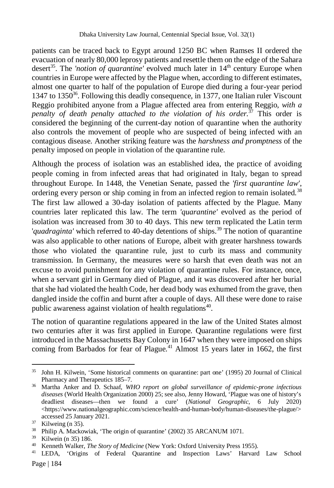patients can be traced back to Egypt around 1250 BC when Ramses II ordered the evacuation of nearly 80,000 leprosy patients and resettle them on the edge of the Sahara desert<sup>35</sup>. The *'notion of quarantine'* evolved much later in 14<sup>th</sup> century Europe when countries in Europe were affected by the Plague when, according to different estimates, almost one quarter to half of the population of Europe died during a four-year period 1347 to 1350 $36$ . Following this deadly consequence, in 1377, one Italian ruler Viscount Reggio prohibited anyone from a Plague affected area from entering Reggio, *with a penalty of death penalty attached to the violation of his order.*<sup>37</sup> This order is considered the beginning of the current-day notion of quarantine when the authority also controls the movement of people who are suspected of being infected with an contagious disease. Another striking feature was the *harshness and promptness* of the penalty imposed on people in violation of the quarantine rule.

Although the process of isolation was an established idea, the practice of avoiding people coming in from infected areas that had originated in Italy, began to spread throughout Europe. In 1448, the Venetian Senate, passed the *'first quarantine law'*, ordering every person or ship coming in from an infected region to remain isolated.<sup>38</sup> The first law allowed a 30-day isolation of patients affected by the Plague. Many countries later replicated this law. The term *'quarantine'* evolved as the period of isolation was increased from 30 to 40 days. This new term replicated the Latin term '*quadraginta'* which referred to 40-day detentions of ships.<sup>39</sup> The notion of quarantine was also applicable to other nations of Europe, albeit with greater harshness towards those who violated the quarantine rule, just to curb its mass and community transmission. In Germany, the measures were so harsh that even death was not an excuse to avoid punishment for any violation of quarantine rules. For instance, once, when a servant girl in Germany died of Plague, and it was discovered after her burial that she had violated the health Code, her dead body was exhumed from the grave, then dangled inside the coffin and burnt after a couple of days. All these were done to raise public awareness against violation of health regulations<sup>40</sup>.

The notion of quarantine regulations appeared in the law of the United States almost two centuries after it was first applied in Europe. Quarantine regulations were first introduced in the Massachusetts Bay Colony in 1647 when they were imposed on ships coming from Barbados for fear of Plague.<sup>41</sup> Almost 15 years later in  $1662$ , the first

 $\overline{a}$ <sup>35</sup> John H. Kilwein, 'Some historical comments on quarantine: part one' (1995) 20 Journal of Clinical Pharmacy and Therapeutics 185–7.

<sup>36</sup> Martha Anker and D. Schaaf, *WHO report on global surveillance of epidemic-prone infectious diseases* (World Health Organization 2000) 25; see also, Jenny Howard, 'Plague was one of history's deadliest diseases—then we found a cure' (*National Geographic*, 6 July 2020) <https://www.nationalgeographic.com/science/health-and-human-body/human-diseases/the-plague/> accessed 25 January 2021.

 $37$  Kilweing (n 35).

<sup>38</sup> Philip A. Mackowiak, 'The origin of quarantine' (2002) 35 ARCANUM 1071.

<sup>39</sup> Kilwein (n 35) 186.

<sup>40</sup> Kenneth Walker, *The Story of Medicine* (New York: Oxford University Press 1955).

Page | 184 <sup>41</sup> LEDA, 'Origins of Federal Quarantine and Inspection Laws' Harvard Law School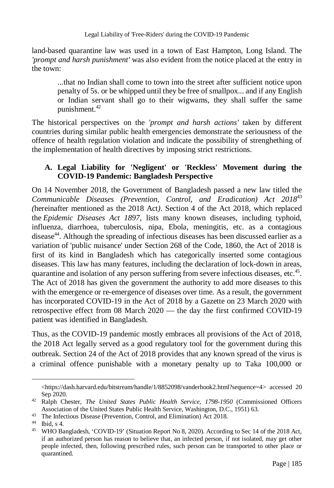land-based quarantine law was used in a town of East Hampton, Long Island. The *'prompt and harsh punishment'* was also evident from the notice placed at the entry in the town:

...that no Indian shall come to town into the street after sufficient notice upon penalty of 5s. or be whipped until they be free of smallpox... and if any English or Indian servant shall go to their wigwams, they shall suffer the same punishment.<sup>42</sup>

The historical perspectives on the *'prompt and harsh actions'* taken by different countries during similar public health emergencies demonstrate the seriousness of the offence of health regulation violation and indicate the possibility of strenghething of the implementation of health directives by imposing strict restrictions.

## **A. Legal Liability for 'Negligent' or 'Reckless' Movement during the COVID-19 Pandemic: Bangladesh Perspective**

On 14 November 2018, the Government of Bangladesh passed a new law titled the *Communicable Diseases (Prevention, Control, and Eradication) Act 2018*<sup>43</sup> *(*hereinafter mentioned as the 2018 Act*)*. Section 4 of the Act 2018*,* which replaced the *Epidemic Diseases Act 1897*, lists many known diseases, including typhoid, influenza, diarrhoea, tuberculosis, nipa, Ebola, meningitis, etc. as a contagious disease<sup>44</sup>. Although the spreading of infectious diseases has been discussed earlier as a variation of 'public nuisance' under Section 268 of the Code, 1860, the Act of 2018 is first of its kind in Bangladesh which has categorically inserted some contagious diseases. This law has many features, including the declaration of lock-down in areas, quarantine and isolation of any person suffering from severe infectious diseases, etc.<sup>45</sup>. The Act of 2018 has given the government the authority to add more diseases to this with the emergence or re-emergence of diseases over time. As a result, the government has incorporated COVID-19 in the Act of 2018 by a Gazette on 23 March 2020 with retrospective effect from 08 March 2020 — the day the first confirmed COVID-19 patient was identified in Bangladesh.

Thus, as the COVID-19 pandemic mostly embraces all provisions of the Act of 2018, the 2018 Act legally served as a good regulatory tool for the government during this outbreak. Section 24 of the Act of 2018 provides that any known spread of the virus is a criminal offence punishable with a monetary penalty up to Taka 100,000 or

<sup>&</sup>lt;https://dash.harvard.edu/bitstream/handle/1/8852098/vanderhook2.html?sequence=4> accessed 20 Sep 2020.

<sup>42</sup> Ralph Chester, *The United States Public Health Service, 1798-1950* (Commissioned Officers Association of the United States Public Health Service, Washington, D.C., 1951) 63.

<sup>&</sup>lt;sup>43</sup> The Infectious Disease (Prevention, Control, and Elimination) Act 2018.

<sup>44</sup> Ibid, s 4.

<sup>45</sup> WHO Bangladesh, 'COVID-19' (Situation Report No 8, 2020). According to Sec 14 of the 2018 Act, if an authorized person has reason to believe that, an infected person, if not isolated, may get other people infected, then, following prescribed rules, such person can be transported to other place or quarantined.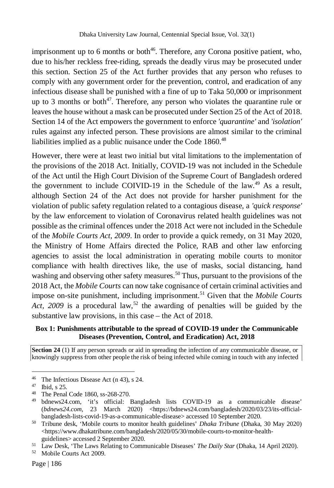imprisonment up to 6 months or both<sup>46</sup>. Therefore, any Corona positive patient, who, due to his/her reckless free-riding, spreads the deadly virus may be prosecuted under this section. Section 25 of the Act further provides that any person who refuses to comply with any government order for the prevention, control, and eradication of any infectious disease shall be punished with a fine of up to Taka 50,000 or imprisonment up to 3 months or both<sup>47</sup>. Therefore, any person who violates the quarantine rule or leaves the house without a mask can be prosecuted under Section 25 of the Act of 2018. Section 14 of the Act empowers the government to enforce *'quarantine'* and *'isolation'* rules against any infected person. These provisions are almost similar to the criminal liabilities implied as a public nuisance under the Code  $1860$ <sup>48</sup>

However, there were at least two initial but vital limitations to the implementation of the provisions of the 2018 Act. Initially, COVID-19 was not included in the Schedule of the Act until the High Court Division of the Supreme Court of Bangladesh ordered the government to include COIVID-19 in the Schedule of the law.<sup>49</sup> As a result, although Section 24 of the Act does not provide for harsher punishment for the violation of public safety regulation related to a contagious disease, a *'quick response'* by the law enforcement to violation of Coronavirus related health guidelines was not possible as the criminal offences under the 2018 Act were not included in the Schedule of the *Mobile Courts Act, 2009*. In order to provide a quick remedy, on 31 May 2020, the Ministry of Home Affairs directed the Police, RAB and other law enforcing agencies to assist the local administration in operating mobile courts to monitor compliance with health directives like, the use of masks, social distancing, hand washing and observing other safety measures.<sup>50</sup> Thus, pursuant to the provisions of the 2018 Act, the *Mobile Courts* can now take cognisance of certain criminal activities and impose on-site punishment, including imprisonment.<sup>51</sup> Given that the *Mobile Courts Act, 2009* is a procedural law,<sup>52</sup> the awarding of penalties will be guided by the substantive law provisions, in this case – the Act of 2018.

#### **Box 1: Punishments attributable to the spread of COVID-19 under the Communicable Diseases (Prevention, Control, and Eradication) Act, 2018**

**Section 24** (1) If any person spreads or aid in spreading the infection of any communicable disease, or knowingly suppress from other people the risk of being infected while coming in touch with any infected

<sup>46</sup> The Infectious Disease Act (n 43), s 24.

<sup>47</sup> Ibid, s 25.

<sup>&</sup>lt;sup>48</sup> The Penal Code 1860, ss-268-270.

bdnews24.com, 'it's official: Bangladesh lists COVID-19 as a communicable disease' (*bdnews24.com*, 23 March 2020) <https://bdnews24.com/bangladesh/2020/03/23/its-officialbangladesh-lists-covid-19-as-a-communicable-disease> accessed 10 September 2020.

<sup>50</sup> Tribune desk, 'Mobile courts to monitor health guidelines' *Dhaka Tribune* (Dhaka, 30 May 2020) <https://www.dhakatribune.com/bangladesh/2020/05/30/mobile-courts-to-monitor-healthguidelines> accessed 2 September 2020.

<sup>51</sup> Law Desk, 'The Laws Relating to Communicable Diseases' *The Daily Star* (Dhaka, 14 April 2020).

<sup>52</sup> Mobile Courts Act 2009.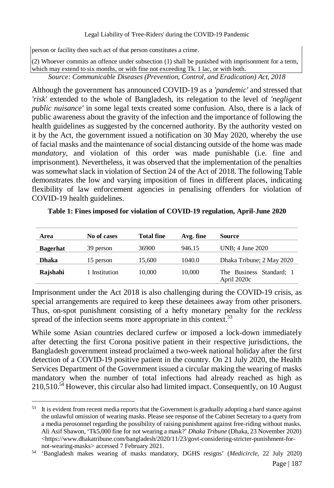Legal Liability of 'Free-Riders' during the COVID-19 Pandemic

person or facility then such act of that person constitutes a crime.

(2) Whoever commits an offence under subsection (1) shall be punished with imprisonment for a term, which may extend to six months, or with fine not exceeding Tk. 1 lac, or with both.

*Source: Communicable Diseases (Prevention, Control, and Eradication) Act, 2018*

Although the government has announced COVID-19 as a *'pandemic'* and stressed that *'risk'* extended to the whole of Bangladesh, its relegation to the level of *'negligent public nuisance'* in some legal texts created some confusion. Also, there is a lack of public awareness about the gravity of the infection and the importance of following the health guidelines as suggested by the concerned authority. By the authority vested on it by the Act, the government issued a notification on 30 May 2020, whereby the use of facial masks and the maintenance of social distancing outside of the home was made *mandatory*, and violation of this order was made punishable (i.e. fine and imprisonment). Nevertheless, it was observed that the implementation of the penalties was somewhat slack in violation of Section 24 of the Act of 2018. The following Table demonstrates the low and varying imposition of fines in different places, indicating flexibility of law enforcement agencies in penalising offenders for violation of COVID-19 health guidelines.

| Area            | No of cases   | <b>Total fine</b> | Avg. fine | <b>Source</b>                           |
|-----------------|---------------|-------------------|-----------|-----------------------------------------|
| <b>Bagerhat</b> | 39 person     | 36900             | 946.15    | UNB; 4 June 2020                        |
| <b>Dhaka</b>    | 15 person     | 15,600            | 1040.0    | Dhaka Tribune; 2 May 2020               |
| Rajshahi        | 1 Institution | 10,000            | 10,000    | The Business Standard; 1<br>April 2020c |

**Table 1: Fines imposed for violation of COVID-19 regulation, April-June 2020**

Imprisonment under the Act 2018 is also challenging during the COVID-19 crisis, as special arrangements are required to keep these detainees away from other prisoners. Thus, on-spot punishment consisting of a hefty monetary penalty for the *reckless* spread of the infection seems more appropriate in this context.<sup>53</sup>

While some Asian countries declared curfew or imposed a lock-down immediately after detecting the first Corona positive patient in their respective jurisdictions, the Bangladesh government instead proclaimed a two-week national holiday after the first detection of a COVID-19 positive patient in the country. On 21 July 2020, the Health Services Department of the Government issued a circular making the wearing of masks mandatory when the number of total infections had already reached as high as  $210,510$ .<sup>54</sup> However, this circular also had limited impact. Consequently, on 10 August

<sup>53</sup> It is evident from recent media reports that the Government is gradually adopting a hard stance against the unlawful omission of wearing masks. Please see response of the Cabinet Secretary to a query from a media perosonnel regarding the possibility of raising punishment against free-riding without masks. Ali Asif Shawon, 'Tk5,000 fine for not wearing a mask?' *Dhaka Tribune* (Dhaka, 23 November 2020) <https://www.dhakatribune.com/bangladesh/2020/11/23/govt-considering-stricter-punishment-fornot-wearing-masks> accessed 7 February 2021.

<sup>54</sup> 'Bangladesh makes wearing of masks mandatory, DGHS resigns' (*Medicircle,* 22 July 2020)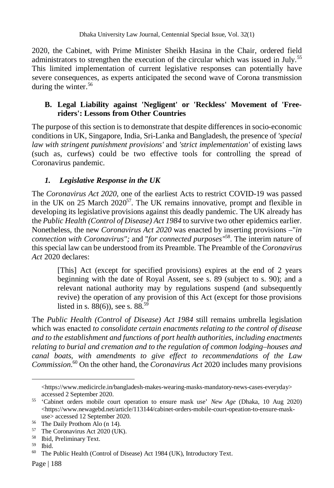2020, the Cabinet, with Prime Minister Sheikh Hasina in the Chair, ordered field administrators to strengthen the execution of the circular which was issued in July.<sup>55</sup> This limited implementation of current legislative responses can potentially have severe consequences, as experts anticipated the second wave of Corona transmission during the winter. $56$ 

# **B. Legal Liability against 'Negligent' or 'Reckless' Movement of 'Freeriders': Lessons from Other Countries**

The purpose of this section is to demonstrate that despite differences in socio-economic conditions in UK, Singapore, India, Sri-Lanka and Bangladesh, the presence of *'special law with stringent punishment provisions'* and *'strict implementation'* of existing laws (such as, curfews) could be two effective tools for controlling the spread of Coronavirus pandemic.

# *1. Legislative Response in the UK*

The *Coronavirus Act 2020*, one of the earliest Acts to restrict COVID-19 was passed in the UK on 25 March  $2020^{57}$ . The UK remains innovative, prompt and flexible in developing its legislative provisions against this deadly pandemic. The UK already has the *Public Health (Control of Disease) Act 1984* to survive two other epidemics earlier. Nonetheless, the new *Coronavirus Act 2020* was enacted by inserting provisions –"*in connection with Coronavirus";* and "*for connected purposes"*<sup>58</sup> . The interim nature of this special law can be understood from its Preamble. The Preamble of the *Coronavirus Act* 2020 declares:

[This] Act (except for specified provisions) expires at the end of 2 years beginning with the date of Royal Assent, see s. 89 (subject to s. 90); and a relevant national authority may by regulations suspend (and subsequently revive) the operation of any provision of this Act (except for those provisions listed in s.  $88(6)$ ), see s.  $88^{59}$ 

The *Public Health (Control of Disease) Act 1984* still remains umbrella legislation which was enacted *to consolidate certain enactments relating to the control of disease and to the establishment and functions of port health authorities, including enactments relating to burial and cremation and to the regulation of common lodging–houses and canal boats, with amendments to give effect to recommendations of the Law Commission*. <sup>60</sup> On the other hand, the *Coronavirus Act* 2020 includes many provisions

<sup>&</sup>lt;https://www.medicircle.in/bangladesh-makes-wearing-masks-mandatory-news-cases-everyday> accessed 2 September 2020.

<sup>55</sup> 'Cabinet orders mobile court operation to ensure mask use' *New Age* (Dhaka, 10 Aug 2020)  $\lt$ https://www.newagebd.net/article/113144/cabinet-orders-mobile-court-opeation-to-ensure-maskuse> accessed 12 September 2020.

<sup>56</sup> The Daily Prothom Alo (n 14).

<sup>57</sup> The Coronavirus Act 2020 (UK).

<sup>58</sup> Ibid, Preliminary Text.

<sup>59</sup> Ibid.

<sup>60</sup> The Public Health (Control of Disease) Act 1984 (UK), Introductory Text.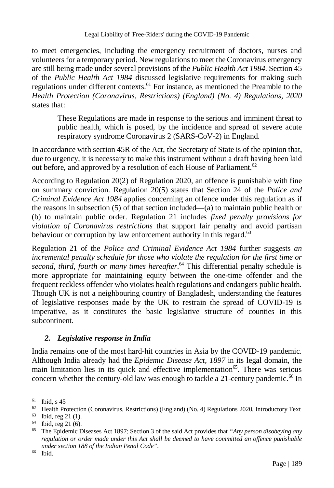Legal Liability of 'Free-Riders' during the COVID-19 Pandemic

to meet emergencies, including the emergency recruitment of doctors, nurses and volunteers for a temporary period. New regulations to meet the Coronavirus emergency are still being made under several provisions of the *Public Health Act 1984*. Section 45 of the *Public Health Act 1984* discussed legislative requirements for making such regulations under different contexts.<sup>61</sup> For instance, as mentioned the Preamble to the *Health Protection (Coronavirus, Restrictions) (England) (No. 4) Regulations, 2020* states that:

These Regulations are made in response to the serious and imminent threat to public health, which is posed, by the incidence and spread of severe acute respiratory syndrome Coronavirus 2 (SARS-CoV-2) in England.

In accordance with section 45R of the Act, the Secretary of State is of the opinion that, due to urgency, it is necessary to make this instrument without a draft having been laid out before, and approved by a resolution of each House of Parliament.<sup>62</sup>

According to Regulation 20(2) of Regulation 2020*,* an offence is punishable with fine on summary conviction. Regulation 20(5) states that Section 24 of the *Police and Criminal Evidence Act 1984* applies concerning an offence under this regulation as if the reasons in subsection (5) of that section included—(a) to maintain public health or (b) to maintain public order. Regulation 21 includes *fixed penalty provisions for violation of Coronavirus restrictions* that support fair penalty and avoid partisan behaviour or corruption by law enforcement authority in this regard.<sup>63</sup>

Regulation 21 of the *Police and Criminal Evidence Act 1984* further suggests *an incremental penalty schedule for those who violate the regulation for the first time or second, third, fourth or many times hereafter*. <sup>64</sup> This differential penalty schedule is more appropriate for maintaining equity between the one-time offender and the frequent reckless offender who violates health regulations and endangers public health. Though UK is not a neighbouring country of Bangladesh, understanding the features of legislative responses made by the UK to restrain the spread of COVID-19 is imperative, as it constitutes the basic legislative structure of counties in this subcontinent.

# *2. Legislative response in India*

India remains one of the most hard-hit countries in Asia by the COVID-19 pandemic. Although India already had the *Epidemic Disease Act, 1897* in its legal domain, the main limitation lies in its quick and effective implementation<sup>65</sup>. There was serious concern whether the century-old law was enough to tackle a 21-century pandemic.<sup>66</sup> In

<sup>61</sup> Ibid, s  $45$ 

<sup>62</sup> Health Protection (Coronavirus, Restrictions) (England) (No. 4) Regulations 2020, Introductory Text

 $^{63}$  Ibid, reg 21 (1).<br> $^{64}$  Ibid. reg 21 (6).

Ibid, reg  $21(6)$ .

<sup>65</sup> The Epidemic Diseases Act 1897; Section 3 of the said Act provides that *"Any person disobeying any regulation or order made under this Act shall be deemed to have committed an offence punishable under section 188 of the Indian Penal Code"*.

<sup>66</sup> Ibid.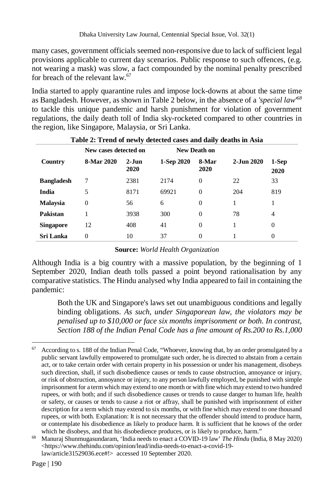many cases, government officials seemed non-responsive due to lack of sufficient legal provisions applicable to current day scenarios. Public response to such offences, (e.g. not wearing a mask) was slow, a fact compounded by the nominal penalty prescribed for breach of the relevant  $law<sup>67</sup>$ 

India started to apply quarantine rules and impose lock-downs at about the same time as Bangladesh. However, as shown in Table 2 below, in the absence of a *'special law'<sup>68</sup>* to tackle this unique pandemic and harsh punishment for violation of government regulations, the daily death toll of India sky-rocketed compared to other countries in the region, like Singapore, Malaysia, or Sri Lanka.

| Table 2: Trend of newly detected cases and daily deaths in Asia |                       |                 |              |                |            |                |  |  |  |
|-----------------------------------------------------------------|-----------------------|-----------------|--------------|----------------|------------|----------------|--|--|--|
|                                                                 | New cases detected on |                 | New Death on |                |            |                |  |  |  |
| Country                                                         | 8-Mar 2020            | $2-Jun$<br>2020 | 1-Sep 2020   | 8-Mar<br>2020  | 2-Jun 2020 | 1-Sep<br>2020  |  |  |  |
| <b>Bangladesh</b>                                               | 7                     | 2381            | 2174         | $\theta$       | 22         | 33             |  |  |  |
| India                                                           | 5                     | 8171            | 69921        | $\theta$       | 204        | 819            |  |  |  |
| <b>Malaysia</b>                                                 | $\overline{0}$        | 56              | 6            | $\overline{0}$ | 1          | 1              |  |  |  |
| Pakistan                                                        |                       | 3938            | 300          | $\theta$       | 78         | $\overline{4}$ |  |  |  |
| <b>Singapore</b>                                                | 12                    | 408             | 41           | $\theta$       |            | $\Omega$       |  |  |  |
| Sri Lanka                                                       | 0                     | 10              | 37           | $\theta$       |            | $\Omega$       |  |  |  |

# **Table 2: Trend of newly detected cases and daily deaths in Asia**

#### **Source:** *World Health Organization*

Although India is a big country with a massive population, by the beginning of 1 September 2020, Indian death tolls passed a point beyond rationalisation by any comparative statistics. The Hindu analysed why India appeared to fail in containing the pandemic:

Both the UK and Singapore's laws set out unambiguous conditions and legally binding obligations. *As such, under Singaporean law, the violators may be penalised up to \$10,000 or face six months imprisonment or both. In contrast, Section 188 of the Indian Penal Code has a fine amount of Rs.200 to Rs.1,000* 

 $\overline{a}$  $67$  According to s. 188 of the Indian Penal Code, "Whoever, knowing that, by an order promulgated by a public servant lawfully empowered to promulgate such order, he is directed to abstain from a certain act, or to take certain order with certain property in his possession or under his management, disobeys such direction, shall, if such disobedience causes or tends to cause obstruction, annoyance or injury, or risk of obstruction, annoyance or injury, to any person lawfully employed, be punished with simple imprisonment for a term which may extend to one month or with fine which may extend to two hundred rupees, or with both; and if such disobedience causes or trends to cause danger to human life, health or safety, or causes or tends to cause a riot or affray, shall be punished with imprisonment of either description for a term which may extend to six months, or with fine which may extend to one thousand rupees, or with both. Explanation: It is not necessary that the offender should intend to produce harm, or contemplate his disobedience as likely to produce harm. It is sufficient that he knows of the order which he disobeys, and that his disobedience produces, or is likely to produce, harm."

<sup>68</sup> Manuraj Shunmugasundaram, 'India needs to enact a COVID-19 law' *The Hindu* (India, 8 May 2020) <https://www.thehindu.com/opinion/lead/india-needs-to-enact-a-covid-19 law/article31529036.ece#!> accessed 10 September 2020.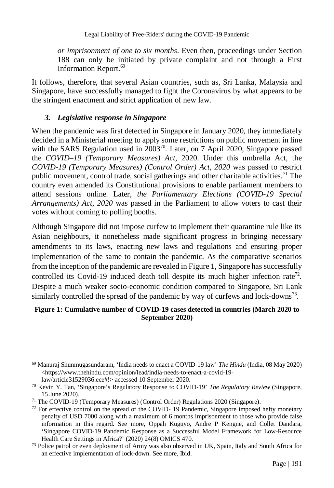*or imprisonment of one to six months*. Even then, proceedings under Section 188 can only be initiated by private complaint and not through a First Information Report.<sup>69</sup>

It follows, therefore, that several Asian countries, such as, Sri Lanka, Malaysia and Singapore, have successfully managed to fight the Coronavirus by what appears to be the stringent enactment and strict application of new law.

## *3. Legislative response in Singapore*

When the pandemic was first detected in Singapore in January 2020, they immediately decided in a Ministerial meeting to apply some restrictions on public movement in line with the SARS Regulation used in  $2003^{70}$ . Later, on 7 April 2020, Singapore passed the *COVID–19 (Temporary Measures) Act*, 2020. Under this umbrella Act, the *COVID-19 (Temporary Measures) (Control Order) Act, 2020* was passed to restrict public movement, control trade, social gatherings and other charitable activities.<sup>71</sup> The country even amended its Constitutional provisions to enable parliament members to attend sessions online. Later, *the Parliamentary Elections (COVID-19 Special Arrangements) Act, 2020* was passed in the Parliament to allow voters to cast their votes without coming to polling booths.

Although Singapore did not impose curfew to implement their quarantine rule like its Asian neighbours, it nonetheless made significant progress in bringing necessary amendments to its laws, enacting new laws and regulations and ensuring proper implementation of the same to contain the pandemic. As the comparative scenarios from the inception of the pandemic are revealed in Figure 1, Singapore has successfully controlled its Covid-19 induced death toll despite its much higher infection rate<sup>72</sup>. Despite a much weaker socio-economic condition compared to Singapore, Sri Lank similarly controlled the spread of the pandemic by way of curfews and lock-downs<sup>73</sup>.

#### **Figure 1: Cumulative number of COVID-19 cases detected in countries (March 2020 to September 2020)**

 $\overline{a}$ <sup>69</sup> Manuraj Shunmugasundaram, 'India needs to enact a COVID-19 law' *The Hindu* (India, 08 May 2020) <https://www.thehindu.com/opinion/lead/india-needs-to-enact-a-covid-19 law/article31529036.ece#!> accessed 10 September 2020.

<sup>70</sup> Kevin Y. Tan, 'Singapore's Regulatory Response to COVID-19' *The Regulatory Review* (Singapore, 15 June 2020).

<sup>71</sup> The COVID-19 (Temporary Measures) (Control Order) Regulations 2020 (Singapore).

 $72$  For effective control on the spread of the COVID- 19 Pandemic, Singapore imposed hefty monetary penalty of USD 7000 along with a maximum of 6 months imprisonment to those who provide false information in this regard. See more, Oppah Kuguyo, Andre P Kengne, and Collet Dandara, 'Singapore COVID-19 Pandemic Response as a Successful Model Framework for Low-Resource Health Care Settings in Africa?' (2020) 24(8) OMICS 470.

 $73$  Police patrol or even deployment of Army was also observed in UK, Spain, Italy and South Africa for an effective implementation of lock-down. See more, Ibid.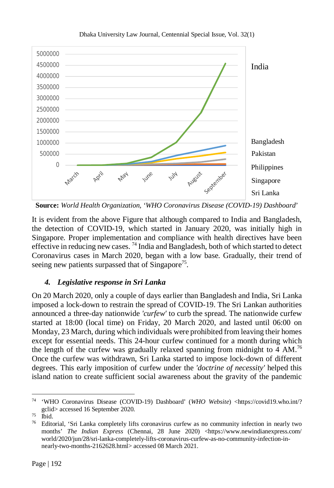

Dhaka University Law Journal, Centennial Special Issue, Vol. 32(1)

**Source:** *World Health Organization, 'WHO Coronavirus Disease (COVID-19) Dashboard*'

It is evident from the above Figure that although compared to India and Bangladesh, the detection of COVID-19, which started in January 2020, was initially high in Singapore. Proper implementation and compliance with health directives have been effective in reducing new cases.<sup>74</sup> India and Bangladesh, both of which started to detect Coronavirus cases in March 2020, began with a low base. Gradually, their trend of seeing new patients surpassed that of Singapore<sup>75</sup>.

# *4. Legislative response in Sri Lanka*

On 20 March 2020, only a couple of days earlier than Bangladesh and India, Sri Lanka imposed a lock-down to restrain the spread of COVID-19. The Sri Lankan authorities announced a three-day nationwide *'curfew'* to curb the spread. The nationwide curfew started at 18:00 (local time) on Friday, 20 March 2020, and lasted until 06:00 on Monday, 23 March, during which individuals were prohibited from leaving their homes except for essential needs. This 24-hour curfew continued for a month during which the length of the curfew was gradually relaxed spanning from midnight to 4  $AM$ .<sup>76</sup> Once the curfew was withdrawn, Sri Lanka started to impose lock-down of different degrees. This early imposition of curfew under the *'doctrine of necessity'* helped this island nation to create sufficient social awareness about the gravity of the pandemic

 $\overline{a}$ <sup>74</sup> 'WHO Coronavirus Disease (COVID-19) Dashboard' (*WHO Website*) <https://covid19.who.int/? gclid> accessed 16 September 2020.

 $75$   $\mathrm{Ibid.}$ 

<sup>76</sup> Editorial, 'Sri Lanka completely lifts coronavirus curfew as no community infection in nearly two months' *The Indian Express* (Chennai, 28 June 2020) <https://www.newindianexpress.com/ world/2020/jun/28/sri-lanka-completely-lifts-coronavirus-curfew-as-no-community-infection-innearly-two-months-2162628.html> accessed 08 March 2021.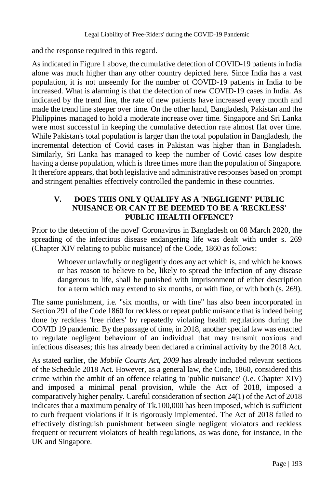and the response required in this regard.

As indicated in Figure 1 above, the cumulative detection of COVID-19 patients in India alone was much higher than any other country depicted here. Since India has a vast population, it is not unseemly for the number of COVID-19 patients in India to be increased. What is alarming is that the detection of new COVID-19 cases in India. As indicated by the trend line, the rate of new patients have increased every month and made the trend line steeper over time. On the other hand, Bangladesh, Pakistan and the Philippines managed to hold a moderate increase over time. Singapore and Sri Lanka were most successful in keeping the cumulative detection rate almost flat over time. While Pakistan's total population is larger than the total population in Bangladesh, the incremental detection of Covid cases in Pakistan was higher than in Bangladesh. Similarly, Sri Lanka has managed to keep the number of Covid cases low despite having a dense population, which is three times more than the population of Singapore. It therefore appears, that both legislative and administrative responses based on prompt and stringent penalties effectively controlled the pandemic in these countries.

## **V. DOES THIS ONLY QUALIFY AS A 'NEGLIGENT' PUBLIC NUISANCE OR CAN IT BE DEEMED TO BE A 'RECKLESS' PUBLIC HEALTH OFFENCE?**

Prior to the detection of the novel' Coronavirus in Bangladesh on 08 March 2020, the spreading of the infectious disease endangering life was dealt with under s. 269 (Chapter XIV relating to public nuisance) of the Code, 1860 as follows:

Whoever unlawfully or negligently does any act which is, and which he knows or has reason to believe to be, likely to spread the infection of any disease dangerous to life, shall be punished with imprisonment of either description for a term which may extend to six months, or with fine, or with both (s. 269).

The same punishment, i.e. "six months, or with fine" has also been incorporated in Section 291 of the Code 1860 for reckless or repeat public nuisance that is indeed being done by reckless 'free riders' by repeatedly violating health regulations during the COVID 19 pandemic. By the passage of time, in 2018, another special law was enacted to regulate negligent behaviour of an individual that may transmit noxious and infectious diseases; this has already been declared a criminal activity by the 2018 Act*.*

As stated earlier, the *Mobile Courts Act, 2009* has already included relevant sections of the Schedule 2018 Act. However, as a general law, the Code, 1860, considered this crime within the ambit of an offence relating to 'public nuisance' (i.e. Chapter XIV) and imposed a minimal penal provision, while the Act of 2018, imposed a comparatively higher penalty. Careful consideration of section 24(1) of the Act of 2018 indicates that a maximum penalty of Tk.100,000 has been imposed, which is sufficient to curb frequent violations if it is rigorously implemented. The Act of 2018 failed to effectively distinguish punishment between single negligent violators and reckless frequent or recurrent violators of health regulations, as was done, for instance, in the UK and Singapore.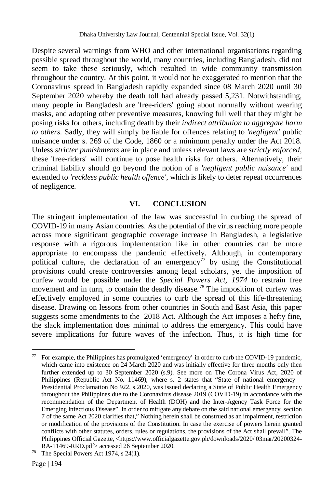Despite several warnings from WHO and other international organisations regarding possible spread throughout the world, many countries, including Bangladesh, did not seem to take these seriously, which resulted in wide community transmission throughout the country. At this point, it would not be exaggerated to mention that the Coronavirus spread in Bangladesh rapidly expanded since 08 March 2020 until 30 September 2020 whereby the death toll had already passed 5,231. Notwithstanding, many people in Bangladesh are 'free-riders' going about normally without wearing masks, and adopting other preventive measures, knowing full well that they might be posing risks for others, including death by their *indirect attribution to aggregate harm to others*. Sadly, they will simply be liable for offences relating to *'negligent'* public nuisance under s. 269 of the Code, 1860 or a minimum penalty under the Act 2018. Unless *stricter punishments* are in place and unless relevant laws are *strictly enforced*, these 'free-riders' will continue to pose health risks for others. Alternatively, their criminal liability should go beyond the notion of a *'negligent public nuisance'* and extended to *'reckless public health offence'*, which is likely to deter repeat occurrences of negligence.

### **VI. CONCLUSION**

The stringent implementation of the law was successful in curbing the spread of COVID-19 in many Asian countries. As the potential of the virus reaching more people across more significant geographic coverage increase in Bangladesh, a legislative response with a rigorous implementation like in other countries can be more appropriate to encompass the pandemic effectively. Although, in contemporary political culture, the declaration of an emergency<sup> $77$ </sup> by using the Constitutional provisions could create controversies among legal scholars, yet the imposition of curfew would be possible under the *Special Powers Act, 1974* to restrain free movement and in turn, to contain the deadly disease*.* <sup>78</sup> The imposition of curfew was effectively employed in some countries to curb the spread of this life-threatening disease. Drawing on lessons from other countries in South and East Asia, this paper suggests some amendments to the 2018 Act. Although the Act imposes a hefty fine, the slack implementation does minimal to address the emergency. This could have severe implications for future waves of the infection. Thus, it is high time for

 $\overline{a}$  $77$  For example, the Philippines has promulgated 'emergency' in order to curb the COVID-19 pandemic, which came into existence on 24 March 2020 and was initially effective for three months only then further extended up to 30 September 2020 (s.9). See more on The Corona Virus Act, 2020 of Philippines (Republic Act No. 11469), where s. 2 states that "State of national emergency – Presidential Proclamation No 922, s.2020, was issued declaring a State of Public Health Emergency throughout the Philippines due to the Coronavirus disease 2019 (COVID-19) in accordance with the recommendation of the Department of Health (DOH) and the Inter-Agency Task Force for the Emerging Infectious Disease". In order to mitigate any debate on the said national emergency, section 7 of the same Act 2020 clarifies that," Nothing herein shall be construed as an impairment, restriction or modification of the provisions of the Constitution. In case the exercise of powers herein granted conflicts with other statutes, orders, rules or regulations, the provisions of the Act shall prevail". The Philippines Official Gazette, <https://www.officialgazette.gov.ph/downloads/2020/ 03mar/20200324- RA-11469-RRD.pdf> accessed 26 September 2020.

<sup>78</sup> The Special Powers Act 1974, s 24(1).